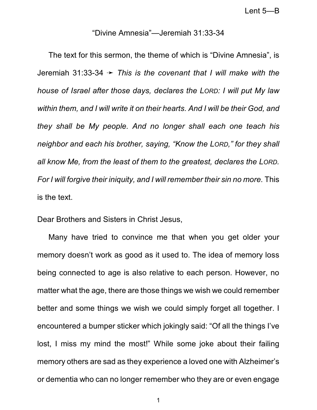## "Divine Amnesia"—Jeremiah 31:33-34

The text for this sermon, the theme of which is "Divine Amnesia", is Jeremiah 31:33-34 ý *This is the covenant that I will make with the house of Israel after those days, declares the LORD: I will put My law within them, and I will write it on their hearts. And I will be their God, and they shall be My people. And no longer shall each one teach his neighbor and each his brother, saying, "Know the LORD," for they shall all know Me, from the least of them to the greatest, declares the LORD. For I will forgive their iniquity, and I will remember their sin no more.* This is the text.

Dear Brothers and Sisters in Christ Jesus,

Many have tried to convince me that when you get older your memory doesn't work as good as it used to. The idea of memory loss being connected to age is also relative to each person. However, no matter what the age, there are those things we wish we could remember better and some things we wish we could simply forget all together. I encountered a bumper sticker which jokingly said: "Of all the things I've lost, I miss my mind the most!" While some joke about their failing memory others are sad as they experience a loved one with Alzheimer's or dementia who can no longer remember who they are or even engage

1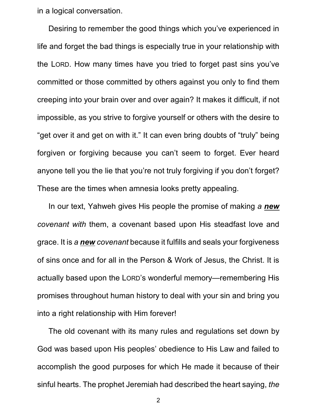in a logical conversation.

Desiring to remember the good things which you've experienced in life and forget the bad things is especially true in your relationship with the LORD. How many times have you tried to forget past sins you've committed or those committed by others against you only to find them creeping into your brain over and over again? It makes it difficult, if not impossible, as you strive to forgive yourself or others with the desire to "get over it and get on with it." It can even bring doubts of "truly" being forgiven or forgiving because you can't seem to forget. Ever heard anyone tell you the lie that you're not truly forgiving if you don't forget? These are the times when amnesia looks pretty appealing.

In our text, Yahweh gives His people the promise of making *a new covenant with* them, a covenant based upon His steadfast love and grace. It is *a new covenant* because it fulfills and seals your forgiveness of sins once and for all in the Person & Work of Jesus, the Christ. It is actually based upon the LORD's wonderful memory—remembering His promises throughout human history to deal with your sin and bring you into a right relationship with Him forever!

The old covenant with its many rules and regulations set down by God was based upon His peoples' obedience to His Law and failed to accomplish the good purposes for which He made it because of their sinful hearts. The prophet Jeremiah had described the heart saying, *the*

2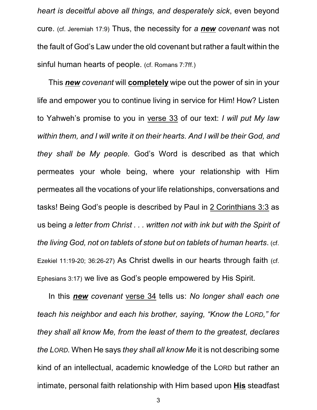*heart is deceitful above all things, and desperately sick*, even beyond cure. (cf. Jeremiah 17:9) Thus, the necessity for *a new covenant* was not the fault of God's Law under the old covenant but rather a fault within the sinful human hearts of people. (cf. Romans 7:7ff.)

This *new covenant* will **completely** wipe out the power of sin in your life and empower you to continue living in service for Him! How? Listen to Yahweh's promise to you in verse 33 of our text: *I will put My law within them, and I will write it on their hearts. And I will be their God, and they shall be My people.* God's Word is described as that which permeates your whole being, where your relationship with Him permeates all the vocations of your life relationships, conversations and tasks! Being God's people is described by Paul in 2 Corinthians 3:3 as us being *a letter from Christ . . . written not with ink but with the Spirit of the living God, not on tablets of stone but on tablets of human hearts*. (cf. Ezekiel 11:19-20; 36:26-27) As Christ dwells in our hearts through faith (cf. Ephesians 3:17) we live as God's people empowered by His Spirit.

In this *new covenant* verse 34 tells us: *No longer shall each one teach his neighbor and each his brother, saying, "Know the LORD," for they shall all know Me, from the least of them to the greatest, declares the LORD.* When He says *they shall all know Me* it is not describing some kind of an intellectual, academic knowledge of the LORD but rather an intimate, personal faith relationship with Him based upon **His** steadfast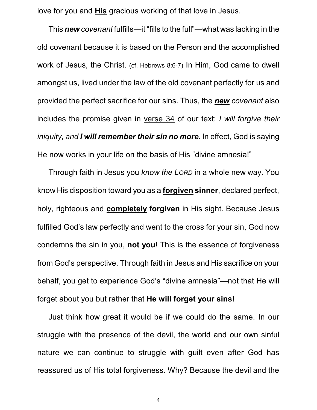love for you and **His** gracious working of that love in Jesus.

This *new covenant* fulfills—it "fills to the full"—what was lacking in the old covenant because it is based on the Person and the accomplished work of Jesus, the Christ. (cf. Hebrews 8:6-7) In Him, God came to dwell amongst us, lived under the law of the old covenant perfectly for us and provided the perfect sacrifice for our sins. Thus, the *new covenant* also includes the promise given in verse 34 of our text: *I will forgive their iniquity, and I will remember their sin no more.* In effect, God is saying He now works in your life on the basis of His "divine amnesia!"

Through faith in Jesus you *know the LORD* in a whole new way. You know His disposition toward you as a **forgiven sinner**, declared perfect, holy, righteous and **completely forgiven** in His sight. Because Jesus fulfilled God's law perfectly and went to the cross for your sin, God now condemns the sin in you, **not you**! This is the essence of forgiveness from God's perspective. Through faith in Jesus and His sacrifice on your behalf, you get to experience God's "divine amnesia"—not that He will forget about you but rather that **He will forget your sins!**

Just think how great it would be if we could do the same. In our struggle with the presence of the devil, the world and our own sinful nature we can continue to struggle with guilt even after God has reassured us of His total forgiveness. Why? Because the devil and the

4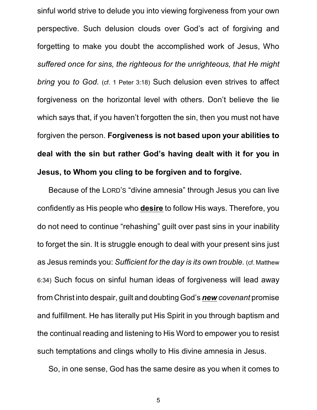sinful world strive to delude you into viewing forgiveness from your own perspective. Such delusion clouds over God's act of forgiving and forgetting to make you doubt the accomplished work of Jesus, Who *suffered once for sins, the righteous for the unrighteous, that He might bring* you *to God.* (cf. 1 Peter 3:18) Such delusion even strives to affect forgiveness on the horizontal level with others. Don't believe the lie which says that, if you haven't forgotten the sin, then you must not have forgiven the person. **Forgiveness is not based upon your abilities to deal with the sin but rather God's having dealt with it for you in Jesus, to Whom you cling to be forgiven and to forgive.**

Because of the LORD'S "divine amnesia" through Jesus you can live confidently as His people who **desire** to follow His ways. Therefore, you do not need to continue "rehashing" guilt over past sins in your inability to forget the sin. It is struggle enough to deal with your present sins just as Jesus reminds you: *Sufficient for the day is its own trouble.* (cf. Matthew 6:34) Such focus on sinful human ideas of forgiveness will lead away from Christ into despair, guilt and doubting God's *new covenant* promise and fulfillment. He has literally put His Spirit in you through baptism and the continual reading and listening to His Word to empower you to resist such temptations and clings wholly to His divine amnesia in Jesus.

So, in one sense, God has the same desire as you when it comes to